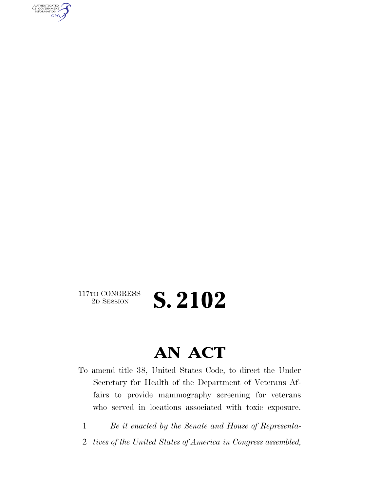AUTHENTICATED<br>U.S. GOVERNMENT<br>INFORMATION **GPO** 

### $\begin{array}{c} \text{117TH CONGRESS} \\ \text{2D Session} \end{array}$

### 2D SESSION **S. 2102**

### **AN ACT**

- To amend title 38, United States Code, to direct the Under Secretary for Health of the Department of Veterans Affairs to provide mammography screening for veterans who served in locations associated with toxic exposure.
	- 1 *Be it enacted by the Senate and House of Representa-*
	- 2 *tives of the United States of America in Congress assembled,*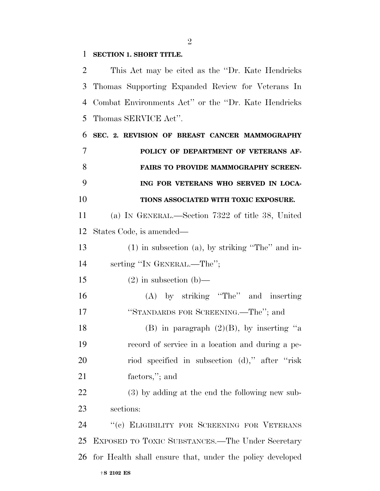#### **SECTION 1. SHORT TITLE.**

 This Act may be cited as the ''Dr. Kate Hendricks Thomas Supporting Expanded Review for Veterans In Combat Environments Act'' or the ''Dr. Kate Hendricks Thomas SERVICE Act''.

 **SEC. 2. REVISION OF BREAST CANCER MAMMOGRAPHY POLICY OF DEPARTMENT OF VETERANS AF- FAIRS TO PROVIDE MAMMOGRAPHY SCREEN- ING FOR VETERANS WHO SERVED IN LOCA- TIONS ASSOCIATED WITH TOXIC EXPOSURE.**  (a) IN GENERAL.—Section 7322 of title 38, United States Code, is amended— (1) in subsection (a), by striking ''The'' and in- serting ''IN GENERAL.—The''; 15 (2) in subsection (b)— (A) by striking ''The'' and inserting ''STANDARDS FOR SCREENING.—The''; and 18 (B) in paragraph  $(2)(B)$ , by inserting "a

 record of service in a location and during a pe-20 riod specified in subsection (d)," after "risk factors,''; and

 (3) by adding at the end the following new sub-sections:

†**S 2102 ES** 24 "(c) ELIGIBILITY FOR SCREENING FOR VETERANS EXPOSED TO TOXIC SUBSTANCES.—The Under Secretary for Health shall ensure that, under the policy developed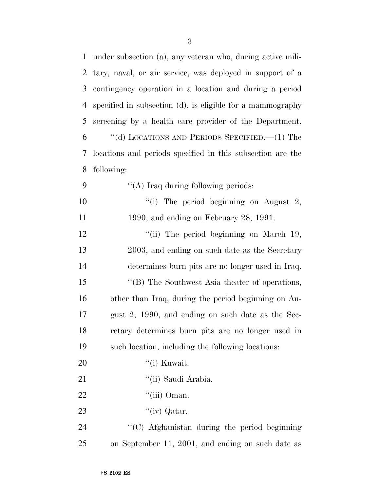| $\mathbf{1}$ | under subsection (a), any veteran who, during active mili- |
|--------------|------------------------------------------------------------|
| 2            | tary, naval, or air service, was deployed in support of a  |
| 3            | contingency operation in a location and during a period    |
| 4            | specified in subsection (d), is eligible for a mammography |
| 5            | screening by a health care provider of the Department.     |
| 6            | "(d) LOCATIONS AND PERIODS SPECIFIED. $-(1)$ The           |
| 7            | locations and periods specified in this subsection are the |
| 8            | following:                                                 |
| 9            | "(A) Iraq during following periods:                        |
| 10           | "(i) The period beginning on August 2,                     |
| 11           | $1990$ , and ending on February 28, 1991.                  |
| 12           | "(ii) The period beginning on March 19,                    |
| 13           | 2003, and ending on such date as the Secretary             |
| 14           | determines burn pits are no longer used in Iraq.           |
| 15           | "(B) The Southwest Asia theater of operations,             |
| 16           | other than Iraq, during the period beginning on Au-        |
| 17           | gust 2, 1990, and ending on such date as the Sec-          |
| 18           | retary determines burn pits are no longer used in          |
| 19           | such location, including the following locations:          |
| 20           | $\lq\lq$ (i) Kuwait.                                       |
| 21           | "(ii) Saudi Arabia.                                        |
| 22           | $``(iii)$ Oman.                                            |
| 23           | "(iv) Qatar.                                               |
| 24           | "(C) Afghanistan during the period beginning               |
| 25           | on September 11, 2001, and ending on such date as          |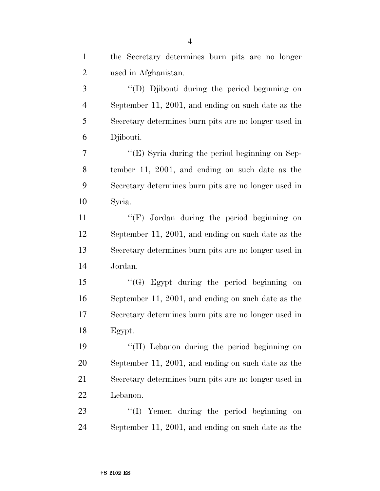| $\mathbf{1}$   | the Secretary determines burn pits are no longer     |
|----------------|------------------------------------------------------|
| $\overline{2}$ | used in Afghanistan.                                 |
| 3              | "(D) Djibouti during the period beginning on         |
| $\overline{4}$ | September 11, 2001, and ending on such date as the   |
| 5              | Secretary determines burn pits are no longer used in |
| 6              | Djibouti.                                            |
| 7              | " $(E)$ Syria during the period beginning on Sep-    |
| 8              | tember 11, 2001, and ending on such date as the      |
| 9              | Secretary determines burn pits are no longer used in |
| 10             | Syria.                                               |
| 11             | "(F) Jordan during the period beginning on           |
| 12             | September 11, 2001, and ending on such date as the   |
| 13             | Secretary determines burn pits are no longer used in |
| 14             | Jordan.                                              |
| 15             | "(G) Egypt during the period beginning on            |
| 16             | September 11, 2001, and ending on such date as the   |
| 17             | Secretary determines burn pits are no longer used in |
| 18             | Egypt.                                               |
| 19             | "(H) Lebanon during the period beginning on          |
| 20             | September 11, 2001, and ending on such date as the   |
| 21             | Secretary determines burn pits are no longer used in |
| 22             | Lebanon.                                             |
| 23             | "(I) Yemen during the period beginning on            |
| 24             | September 11, 2001, and ending on such date as the   |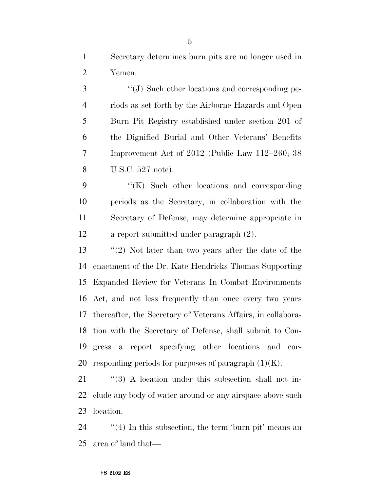Secretary determines burn pits are no longer used in Yemen.

3 ''(J) Such other locations and corresponding pe- riods as set forth by the Airborne Hazards and Open Burn Pit Registry established under section 201 of the Dignified Burial and Other Veterans' Benefits Improvement Act of 2012 (Public Law 112–260; 38 U.S.C. 527 note).

 ''(K) Such other locations and corresponding periods as the Secretary, in collaboration with the Secretary of Defense, may determine appropriate in a report submitted under paragraph (2).

 ''(2) Not later than two years after the date of the enactment of the Dr. Kate Hendricks Thomas Supporting Expanded Review for Veterans In Combat Environments Act, and not less frequently than once every two years thereafter, the Secretary of Veterans Affairs, in collabora- tion with the Secretary of Defense, shall submit to Con- gress a report specifying other locations and cor-20 responding periods for purposes of paragraph  $(1)(K)$ .

21 ''(3) A location under this subsection shall not in- clude any body of water around or any airspace above such location.

24 ''(4) In this subsection, the term 'burn pit' means an area of land that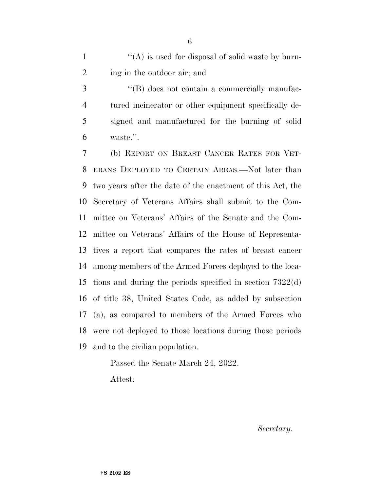$'$ (A) is used for disposal of solid waste by burn-2 ing in the outdoor air; and 3 (B) does not contain a commercially manufac-tured incinerator or other equipment specifically de-

 signed and manufactured for the burning of solid waste.''.

 (b) REPORT ON BREAST CANCER RATES FOR VET- ERANS DEPLOYED TO CERTAIN AREAS.—Not later than two years after the date of the enactment of this Act, the Secretary of Veterans Affairs shall submit to the Com- mittee on Veterans' Affairs of the Senate and the Com- mittee on Veterans' Affairs of the House of Representa- tives a report that compares the rates of breast cancer among members of the Armed Forces deployed to the loca- tions and during the periods specified in section 7322(d) of title 38, United States Code, as added by subsection (a), as compared to members of the Armed Forces who were not deployed to those locations during those periods and to the civilian population.

Passed the Senate March 24, 2022.

Attest:

*Secretary.*